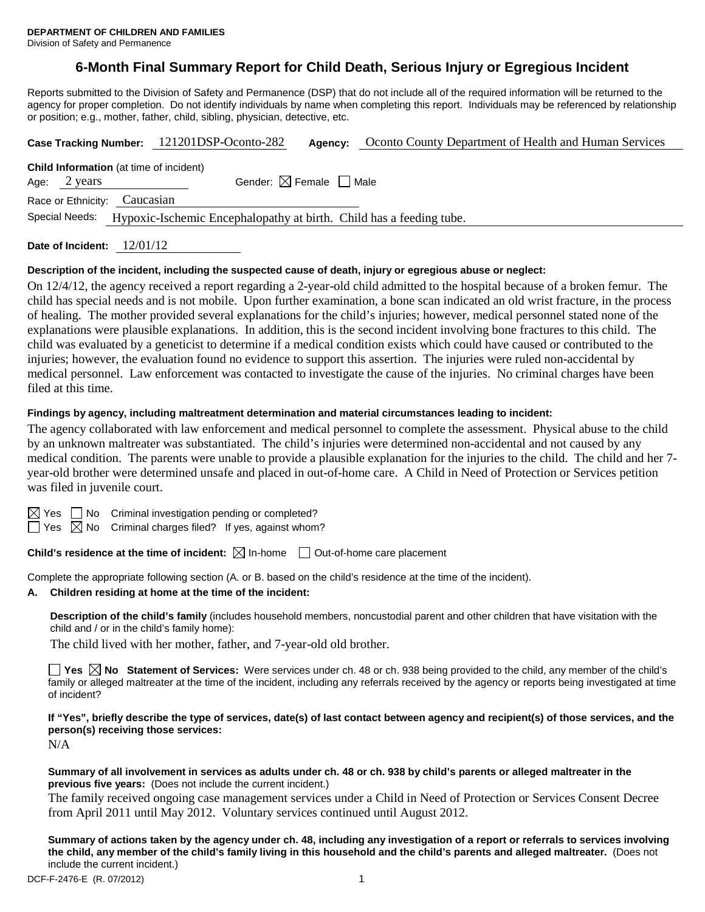Division of Safety and Permanence

# **6-Month Final Summary Report for Child Death, Serious Injury or Egregious Incident**

Reports submitted to the Division of Safety and Permanence (DSP) that do not include all of the required information will be returned to the agency for proper completion. Do not identify individuals by name when completing this report. Individuals may be referenced by relationship or position; e.g., mother, father, child, sibling, physician, detective, etc.

| Case Tracking Number: 121201DSP-Oconto-282                                            |  | Agency:                                | Oconto County Department of Health and Human Services |  |  |  |  |
|---------------------------------------------------------------------------------------|--|----------------------------------------|-------------------------------------------------------|--|--|--|--|
| <b>Child Information</b> (at time of incident)<br>Age: $2 \text{ years}$              |  | Gender: $\boxtimes$ Female $\Box$ Male |                                                       |  |  |  |  |
| Race or Ethnicity: Caucasian                                                          |  |                                        |                                                       |  |  |  |  |
| Special Needs:<br>Hypoxic-Ischemic Encephalopathy at birth. Child has a feeding tube. |  |                                        |                                                       |  |  |  |  |
|                                                                                       |  |                                        |                                                       |  |  |  |  |

**Date of Incident:** 12/01/12

### **Description of the incident, including the suspected cause of death, injury or egregious abuse or neglect:**

On 12/4/12, the agency received a report regarding a 2-year-old child admitted to the hospital because of a broken femur. The child has special needs and is not mobile. Upon further examination, a bone scan indicated an old wrist fracture, in the process of healing. The mother provided several explanations for the child's injuries; however, medical personnel stated none of the explanations were plausible explanations. In addition, this is the second incident involving bone fractures to this child. The child was evaluated by a geneticist to determine if a medical condition exists which could have caused or contributed to the injuries; however, the evaluation found no evidence to support this assertion. The injuries were ruled non-accidental by medical personnel. Law enforcement was contacted to investigate the cause of the injuries. No criminal charges have been filed at this time.

### **Findings by agency, including maltreatment determination and material circumstances leading to incident:**

The agency collaborated with law enforcement and medical personnel to complete the assessment. Physical abuse to the child by an unknown maltreater was substantiated. The child's injuries were determined non-accidental and not caused by any medical condition. The parents were unable to provide a plausible explanation for the injuries to the child. The child and her 7 year-old brother were determined unsafe and placed in out-of-home care. A Child in Need of Protection or Services petition was filed in juvenile court.

 $\boxtimes$  Yes  $\Box$  No Criminal investigation pending or completed?

 $\Box$  Yes  $\boxtimes$  No Criminal charges filed? If yes, against whom?

**Child's residence at the time of incident:**  $\boxtimes$  In-home  $\Box$  Out-of-home care placement

Complete the appropriate following section (A. or B. based on the child's residence at the time of the incident).

### **A. Children residing at home at the time of the incident:**

**Description of the child's family** (includes household members, noncustodial parent and other children that have visitation with the child and / or in the child's family home):

The child lived with her mother, father, and 7-year-old old brother.

■ Yes **No** Statement of Services: Were services under ch. 48 or ch. 938 being provided to the child, any member of the child's family or alleged maltreater at the time of the incident, including any referrals received by the agency or reports being investigated at time of incident?

**If "Yes", briefly describe the type of services, date(s) of last contact between agency and recipient(s) of those services, and the person(s) receiving those services:**

N/A

### **Summary of all involvement in services as adults under ch. 48 or ch. 938 by child's parents or alleged maltreater in the previous five years:** (Does not include the current incident.)

The family received ongoing case management services under a Child in Need of Protection or Services Consent Decree from April 2011 until May 2012. Voluntary services continued until August 2012.

**Summary of actions taken by the agency under ch. 48, including any investigation of a report or referrals to services involving the child, any member of the child's family living in this household and the child's parents and alleged maltreater.** (Does not include the current incident.)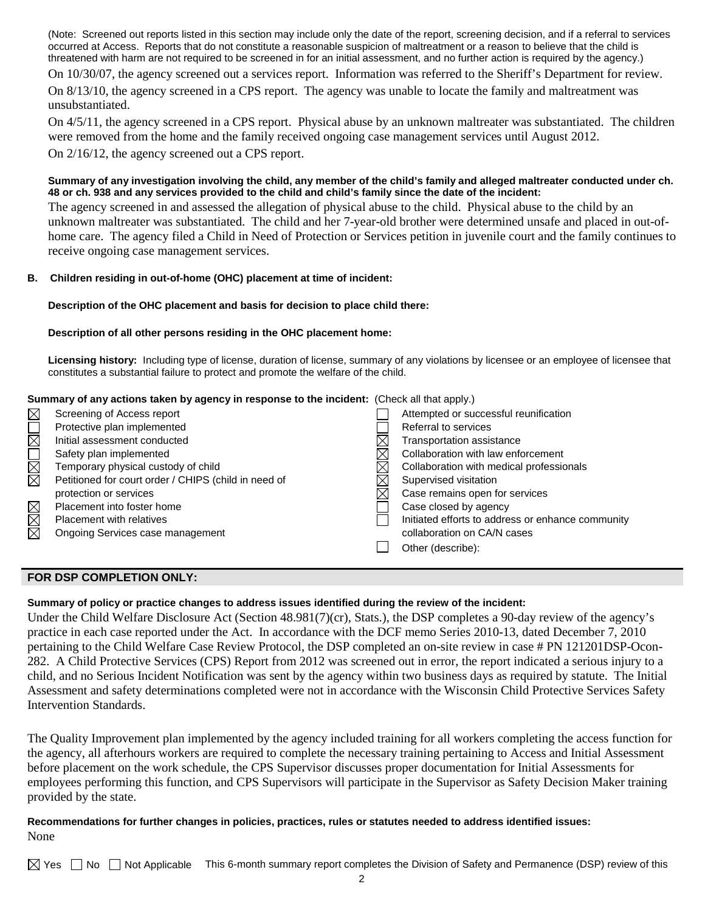(Note: Screened out reports listed in this section may include only the date of the report, screening decision, and if a referral to services occurred at Access. Reports that do not constitute a reasonable suspicion of maltreatment or a reason to believe that the child is threatened with harm are not required to be screened in for an initial assessment, and no further action is required by the agency.)

On 10/30/07, the agency screened out a services report. Information was referred to the Sheriff's Department for review. On 8/13/10, the agency screened in a CPS report. The agency was unable to locate the family and maltreatment was

unsubstantiated.

On 4/5/11, the agency screened in a CPS report. Physical abuse by an unknown maltreater was substantiated. The children were removed from the home and the family received ongoing case management services until August 2012. On 2/16/12, the agency screened out a CPS report.

## **Summary of any investigation involving the child, any member of the child's family and alleged maltreater conducted under ch. 48 or ch. 938 and any services provided to the child and child's family since the date of the incident:**

The agency screened in and assessed the allegation of physical abuse to the child. Physical abuse to the child by an unknown maltreater was substantiated. The child and her 7-year-old brother were determined unsafe and placed in out-ofhome care. The agency filed a Child in Need of Protection or Services petition in juvenile court and the family continues to receive ongoing case management services.

# **B. Children residing in out-of-home (OHC) placement at time of incident:**

# **Description of the OHC placement and basis for decision to place child there:**

# **Description of all other persons residing in the OHC placement home:**

**Licensing history:** Including type of license, duration of license, summary of any violations by licensee or an employee of licensee that constitutes a substantial failure to protect and promote the welfare of the child.

# **Summary of any actions taken by agency in response to the incident:** (Check all that apply.)

| $\boxtimes$ | Screening of Access report                           | Attempted or successful reunification             |
|-------------|------------------------------------------------------|---------------------------------------------------|
|             | Protective plan implemented                          | Referral to services                              |
| $\Box$      | Initial assessment conducted                         | Transportation assistance                         |
| N<br>M      | Safety plan implemented                              | Collaboration with law enforcement                |
|             | Temporary physical custody of child                  | Collaboration with medical professionals          |
|             | Petitioned for court order / CHIPS (child in need of | Supervised visitation                             |
|             | protection or services                               | Case remains open for services                    |
|             | Placement into foster home                           | Case closed by agency                             |
| <b>MMM</b>  | Placement with relatives                             | Initiated efforts to address or enhance community |
|             | Ongoing Services case management                     | collaboration on CA/N cases                       |
|             |                                                      | Other (describe):                                 |
|             |                                                      |                                                   |

### **FOR DSP COMPLETION ONLY:**

### **Summary of policy or practice changes to address issues identified during the review of the incident:**

Under the Child Welfare Disclosure Act (Section 48.981(7)(cr), Stats.), the DSP completes a 90-day review of the agency's practice in each case reported under the Act. In accordance with the DCF memo Series 2010-13, dated December 7, 2010 pertaining to the Child Welfare Case Review Protocol, the DSP completed an on-site review in case # PN 121201DSP-Ocon-282. A Child Protective Services (CPS) Report from 2012 was screened out in error, the report indicated a serious injury to a child, and no Serious Incident Notification was sent by the agency within two business days as required by statute. The Initial Assessment and safety determinations completed were not in accordance with the Wisconsin Child Protective Services Safety Intervention Standards.

The Quality Improvement plan implemented by the agency included training for all workers completing the access function for the agency, all afterhours workers are required to complete the necessary training pertaining to Access and Initial Assessment before placement on the work schedule, the CPS Supervisor discusses proper documentation for Initial Assessments for employees performing this function, and CPS Supervisors will participate in the Supervisor as Safety Decision Maker training provided by the state.

# **Recommendations for further changes in policies, practices, rules or statutes needed to address identified issues:** None

 $\boxtimes$  Yes  $\Box$  No  $\Box$  Not Applicable This 6-month summary report completes the Division of Safety and Permanence (DSP) review of this